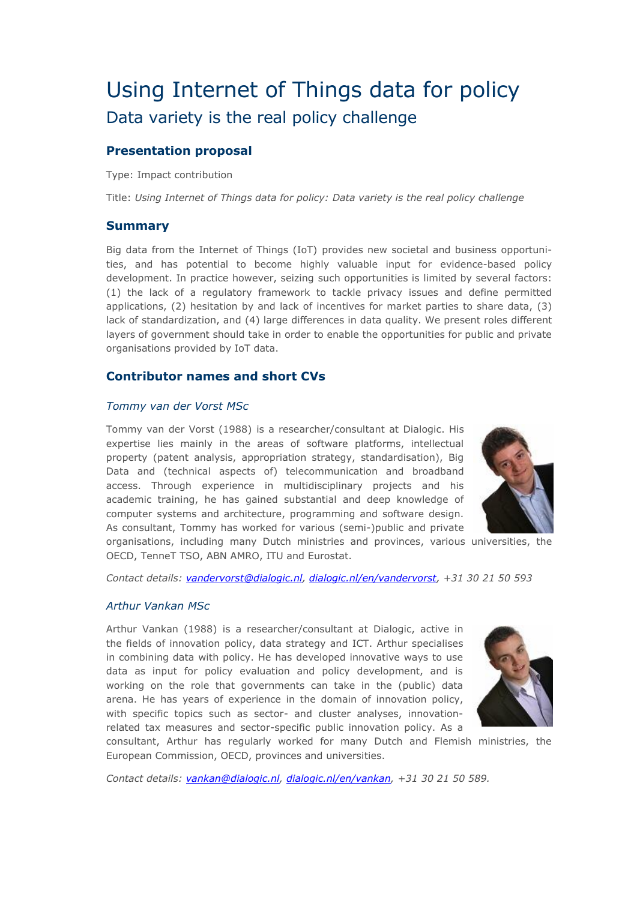# Using Internet of Things data for policy Data variety is the real policy challenge

# **Presentation proposal**

Type: Impact contribution

Title: *Using Internet of Things data for policy: Data variety is the real policy challenge*

## **Summary**

Big data from the Internet of Things (IoT) provides new societal and business opportunities, and has potential to become highly valuable input for evidence-based policy development. In practice however, seizing such opportunities is limited by several factors: (1) the lack of a regulatory framework to tackle privacy issues and define permitted applications, (2) hesitation by and lack of incentives for market parties to share data, (3) lack of standardization, and (4) large differences in data quality. We present roles different layers of government should take in order to enable the opportunities for public and private organisations provided by IoT data.

## **Contributor names and short CVs**

#### *Tommy van der Vorst MSc*

Tommy van der Vorst (1988) is a researcher/consultant at Dialogic. His expertise lies mainly in the areas of software platforms, intellectual property (patent analysis, appropriation strategy, standardisation), Big Data and (technical aspects of) telecommunication and broadband access. Through experience in multidisciplinary projects and his academic training, he has gained substantial and deep knowledge of computer systems and architecture, programming and software design. As consultant, Tommy has worked for various (semi-)public and private



organisations, including many Dutch ministries and provinces, various universities, the OECD, TenneT TSO, ABN AMRO, ITU and Eurostat.

*Contact details: [vandervorst@dialogic.nl,](mailto:vandervorst@dialogic.nl) [dialogic.nl/en/vandervorst,](http://dialogic.nl/en/vandervorst) +31 30 21 50 593*

#### *Arthur Vankan MSc*

Arthur Vankan (1988) is a researcher/consultant at Dialogic, active in the fields of innovation policy, data strategy and ICT. Arthur specialises in combining data with policy. He has developed innovative ways to use data as input for policy evaluation and policy development, and is working on the role that governments can take in the (public) data arena. He has years of experience in the domain of innovation policy, with specific topics such as sector- and cluster analyses, innovationrelated tax measures and sector-specific public innovation policy. As a



consultant, Arthur has regularly worked for many Dutch and Flemish ministries, the European Commission, OECD, provinces and universities.

*Contact details: [vankan@dialogic.nl,](mailto:vankan@dialogic.nl) [dialogic.nl/en/vankan,](http://dialogic.nl/en/vankan) +31 30 21 50 589.*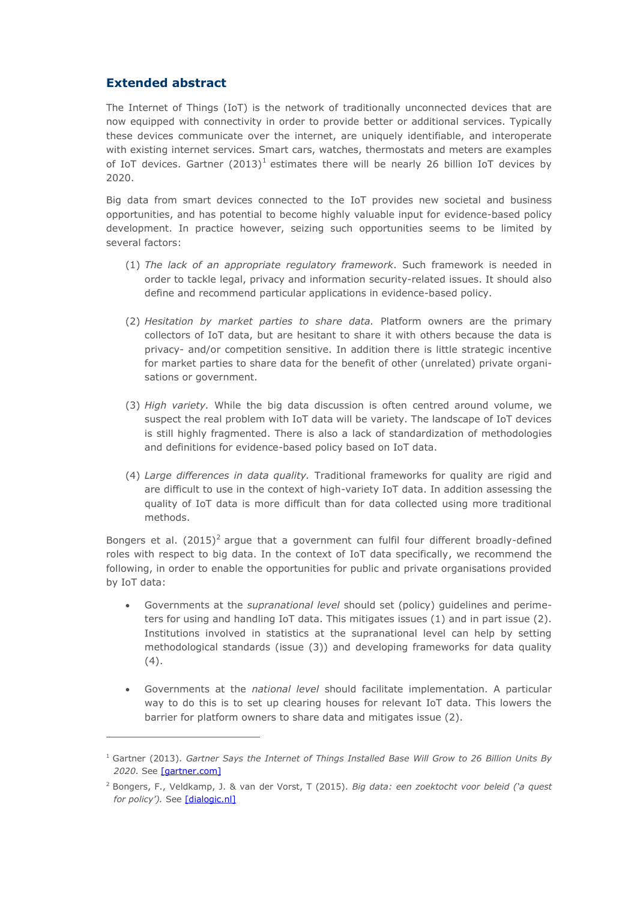# **Extended abstract**

 $\overline{a}$ 

The Internet of Things (IoT) is the network of traditionally unconnected devices that are now equipped with connectivity in order to provide better or additional services. Typically these devices communicate over the internet, are uniquely identifiable, and interoperate with existing internet services. Smart cars, watches, thermostats and meters are examples of IoT devices. Gartner  $(2013)^1$  estimates there will be nearly 26 billion IoT devices by 2020.

Big data from smart devices connected to the IoT provides new societal and business opportunities, and has potential to become highly valuable input for evidence-based policy development. In practice however, seizing such opportunities seems to be limited by several factors:

- (1) *The lack of an appropriate regulatory framework*. Such framework is needed in order to tackle legal, privacy and information security-related issues. It should also define and recommend particular applications in evidence-based policy.
- (2) *Hesitation by market parties to share data.* Platform owners are the primary collectors of IoT data, but are hesitant to share it with others because the data is privacy- and/or competition sensitive. In addition there is little strategic incentive for market parties to share data for the benefit of other (unrelated) private organisations or government.
- (3) *High variety.* While the big data discussion is often centred around volume, we suspect the real problem with IoT data will be variety. The landscape of IoT devices is still highly fragmented. There is also a lack of standardization of methodologies and definitions for evidence-based policy based on IoT data.
- (4) *Large differences in data quality.* Traditional frameworks for quality are rigid and are difficult to use in the context of high-variety IoT data. In addition assessing the quality of IoT data is more difficult than for data collected using more traditional methods.

Bongers et al.  $(2015)^2$  argue that a government can fulfil four different broadly-defined roles with respect to big data. In the context of IoT data specifically, we recommend the following, in order to enable the opportunities for public and private organisations provided by IoT data:

- Governments at the *supranational level* should set (policy) guidelines and perimeters for using and handling IoT data. This mitigates issues (1) and in part issue (2). Institutions involved in statistics at the supranational level can help by setting methodological standards (issue (3)) and developing frameworks for data quality (4).
- Governments at the *national level* should facilitate implementation. A particular way to do this is to set up clearing houses for relevant IoT data. This lowers the barrier for platform owners to share data and mitigates issue (2).

<sup>1</sup> Gartner (2013). *Gartner Says the Internet of Things Installed Base Will Grow to 26 Billion Units By 2020.* See [\[gartner.com\]](http://www.gartner.com/newsroom/id/2636073)

<sup>2</sup> Bongers, F., Veldkamp, J. & van der Vorst, T (2015). *Big data: een zoektocht voor beleid ('a quest*  for policy'). See [\[dialogic.nl\]](http://dialogic.nl/nieuwsbriefartikelen-zichtbaar-op-site/publicatie-big-data-een-zoektocht-voor-beleid.html)